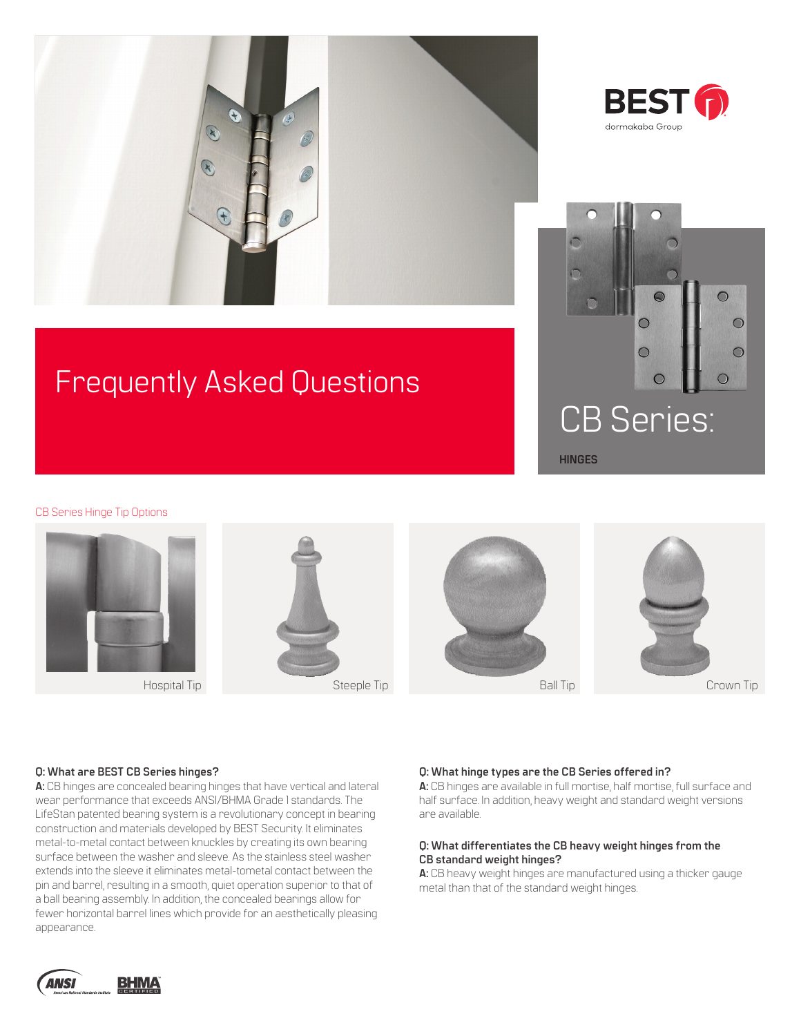



# Frequently Asked Questions



CB Series Hinge Tip Options



#### **Q: What are BEST CB Series hinges?**

**A:** CB hinges are concealed bearing hinges that have vertical and lateral wear performance that exceeds ANSI/BHMA Grade 1 standards. The LifeStan patented bearing system is a revolutionary concept in bearing construction and materials developed by BEST Security. It eliminates metal-to-metal contact between knuckles by creating its own bearing surface between the washer and sleeve. As the stainless steel washer extends into the sleeve it eliminates metal-tometal contact between the pin and barrel, resulting in a smooth, quiet operation superior to that of a ball bearing assembly. In addition, the concealed bearings allow for fewer horizontal barrel lines which provide for an aesthetically pleasing appearance.

#### **Q: What hinge types are the CB Series offered in?**

**A:** CB hinges are available in full mortise, half mortise, full surface and half surface. In addition, heavy weight and standard weight versions are available.

#### **Q: What differentiates the CB heavy weight hinges from the CB standard weight hinges?**

**A:** CB heavy weight hinges are manufactured using a thicker gauge metal than that of the standard weight hinges.